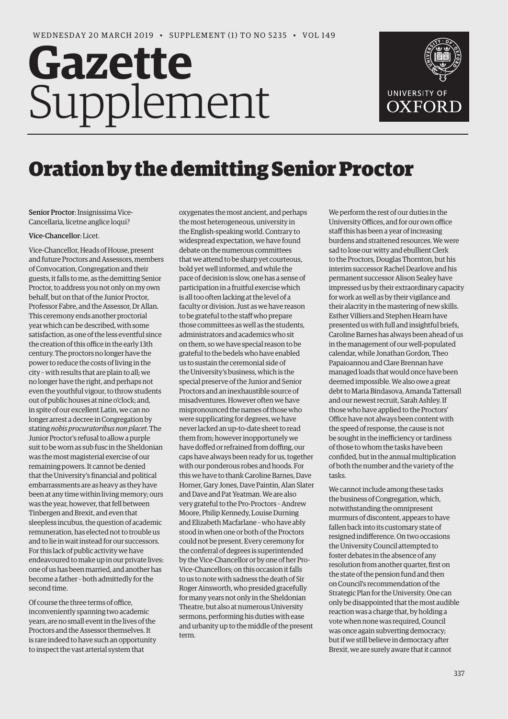# **Gazette** Supplement



# Oration by the demitting Senior Proctor

Senior Proctor: Insignissima Vice-Cancellaria, licetne anglice loqui?

## Vice-Chancellor: Licet.

Vice-Chancellor, Heads of House, present and future Proctors and Assessors, members of Convocation, Congregation and their guests, it falls to me, as the demitting Senior Proctor, to address you not only on my own behalf, but on that of the Junior Proctor, Professor Fabre, and the Assessor, Dr Allan. This ceremony ends another proctorial year which can be described, with some satisfaction, as one of the less eventful since the creation of this office in the early 13th century. The proctors no longer have the power to reduce the costs of living in the city – with results that are plain to all; we no longer have the right, and perhaps not even the youthful vigour, to throw students out of public houses at nine o'clock; and, in spite of our excellent Latin, we can no longer arrest a decree in Congregation by stating *nobis procuratoribus non placet*. The Junior Proctor's refusal to allow a purple suit to be worn as sub fusc in the Sheldonian was the most magisterial exercise of our remaining powers. It cannot be denied that the University's financial and political embarrassments are as heavy as they have been at any time within living memory; ours was the year, however, that fell between Tinbergen and Brexit, and even that sleepless incubus, the question of academic remuneration, has elected not to trouble us and to lie in wait instead for our successors. For this lack of public activity we have endeavoured to make up in our private lives: one of us has been married, and another has become a father – both admittedly for the second time.

Of course the three terms of office, inconveniently spanning two academic years, are no small event in the lives of the Proctors and the Assessor themselves. It is rare indeed to have such an opportunity to inspect the vast arterial system that

oxygenates the most ancient, and perhaps the most heterogeneous, university in the English-speaking world. Contrary to widespread expectation, we have found debate on the numerous committees that we attend to be sharp yet courteous, bold yet well informed, and while the pace of decision is slow, one has a sense of participation in a fruitful exercise which is all too often lacking at the level of a faculty or division. Just as we have reason to be grateful to the staff who prepare those committees as well as the students, administrators and academics who sit on them, so we have special reason to be grateful to the bedels who have enabled us to sustain the ceremonial side of the University's business, which is the special preserve of the Junior and Senior Proctors and an inexhaustible source of misadventures. However often we have mispronounced the names of those who were supplicating for degrees, we have never lacked an up-to-date sheet to read them from; however inopportunely we have doffed or refrained from doffing, our caps have always been ready for us, together with our ponderous robes and hoods. For this we have to thank Caroline Barnes, Dave Horner, Gary Jones, Dave Paintin, Alan Slater and Dave and Pat Yeatman. We are also very grateful to the Pro-Proctors – Andrew Moore, Philip Kennedy, Louise Durning and Elizabeth Macfarlane – who have ably stood in when one or both of the Proctors could not be present. Every ceremony for the conferral of degrees is superintended by the Vice-Chancellor or by one of her Pro-Vice-Chancellors; on this occasion it falls to us to note with sadness the death of Sir Roger Ainsworth, who presided gracefully for many years not only in the Sheldonian Theatre, but also at numerous University sermons, performing his duties with ease and urbanity up to the middle of the present term.

We perform the rest of our duties in the University Offices, and for our own office staff this has been a year of increasing burdens and straitened resources. We were sad to lose our witty and ebullient Clerk to the Proctors, Douglas Thornton, but his interim successor Rachel Dearlove and his permanent successor Alison Sealey have impressed us by their extraordinary capacity for work as well as by their vigilance and their alacrity in the mastering of new skills. Esther Villiers and Stephen Hearn have presented us with full and insightful briefs, Caroline Barnes has always been ahead of us in the management of our well-populated calendar, while Jonathan Gordon, Theo Papaioannou and Clare Brennan have managed loads that would once have been deemed impossible. We also owe a great debt to Maria Bindasova, Amanda Tattersall and our newest recruit, Sarah Ashley. If those who have applied to the Proctors' Office have not always been content with the speed of response, the cause is not be sought in the inefficiency or tardiness of those to whom the tasks have been confided, but in the annual multiplication of both the number and the variety of the tasks.

We cannot include among these tasks the business of Congregation, which, notwithstanding the omnipresent murmurs of discontent, appears to have fallen back into its customary state of resigned indifference. On two occasions the University Council attempted to foster debates in the absence of any resolution from another quarter, first on the state of the pension fund and then on Council's recommendation of the Strategic Plan for the University. One can only be disappointed that the most audible reaction was a charge that, by holding a vote when none was required, Council was once again subverting democracy; but if we still believe in democracy after Brexit, we are surely aware that it cannot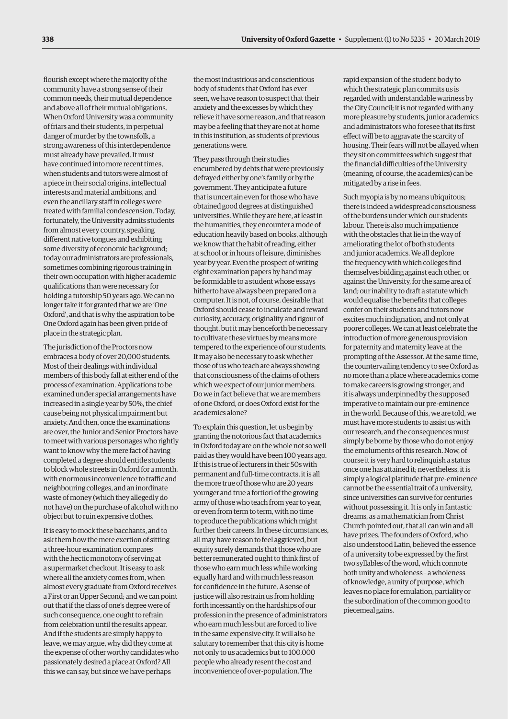flourish except where the majority of the community have a strong sense of their common needs, their mutual dependence and above all of their mutual obligations. When Oxford University was a community of friars and their students, in perpetual danger of murder by the townsfolk, a strong awareness of this interdependence must already have prevailed. It must have continued into more recent times, when students and tutors were almost of a piece in their social origins, intellectual interests and material ambitions, and even the ancillary staff in colleges were treated with familial condescension. Today, fortunately, the University admits students from almost every country, speaking different native tongues and exhibiting some diversity of economic background; today our administrators are professionals, sometimes combining rigorous training in their own occupation with higher academic qualifications than were necessary for holding a tutorship 50 years ago. We can no longer take it for granted that we are 'One Oxford', and that is why the aspiration to be One Oxford again has been given pride of place in the strategic plan.

The jurisdiction of the Proctors now embraces a body of over 20,000 students. Most of their dealings with individual members of this body fall at either end of the process of examination. Applications to be examined under special arrangements have increased in a single year by 50%, the chief cause being not physical impairment but anxiety. And then, once the examinations are over, the Junior and Senior Proctors have to meet with various personages who rightly want to know why the mere fact of having completed a degree should entitle students to block whole streets in Oxford for a month, with enormous inconvenience to traffic and neighbouring colleges, and an inordinate waste of money (which they allegedly do not have) on the purchase of alcohol with no object but to ruin expensive clothes.

It is easy to mock these bacchants, and to ask them how the mere exertion of sitting a three-hour examination compares with the hectic monotony of serving at a supermarket checkout. It is easy to ask where all the anxiety comes from, when almost every graduate from Oxford receives a First or an Upper Second; and we can point out that if the class of one's degree were of such consequence, one ought to refrain from celebration until the results appear. And if the students are simply happy to leave, we may argue, why did they come at the expense of other worthy candidates who passionately desired a place at Oxford? All this we can say, but since we have perhaps

the most industrious and conscientious body of students that Oxford has ever seen, we have reason to suspect that their anxiety and the excesses by which they relieve it have some reason, and that reason may be a feeling that they are not at home in this institution, as students of previous generations were.

They pass through their studies encumbered by debts that were previously defrayed either by one's family or by the government. They anticipate a future that is uncertain even for those who have obtained good degrees at distinguished universities. While they are here, at least in the humanities, they encounter a mode of education heavily based on books, although we know that the habit of reading, either at school or in hours of leisure, diminishes year by year. Even the prospect of writing eight examination papers by hand may be formidable to a student whose essays hitherto have always been prepared on a computer. It is not, of course, desirable that Oxford should cease to inculcate and reward curiosity, accuracy, originality and rigour of thought, but it may henceforth be necessary to cultivate these virtues by means more tempered to the experience of our students. It may also be necessary to ask whether those of us who teach are always showing that consciousness of the claims of others which we expect of our junior members. Do we in fact believe that we are members of one Oxford, or does Oxford exist for the academics alone?

To explain this question, let us begin by granting the notorious fact that academics in Oxford today are on the whole not so well paid as they would have been 100 years ago. If this is true of lecturers in their 50s with permanent and full-time contracts, it is all the more true of those who are 20 years younger and true a fortiori of the growing army of those who teach from year to year, or even from term to term, with no time to produce the publications which might further their careers. In these circumstances, all may have reason to feel aggrieved, but equity surely demands that those who are better remunerated ought to think first of those who earn much less while working equally hard and with much less reason for confidence in the future. A sense of justice will also restrain us from holding forth incessantly on the hardships of our profession in the presence of administrators who earn much less but are forced to live in the same expensive city. It will also be salutary to remember that this city is home not only to us academics but to 100,000 people who already resent the cost and inconvenience of over-population. The

rapid expansion of the student body to which the strategic plan commits us is regarded with understandable wariness by the City Council; it is not regarded with any more pleasure by students, junior academics and administrators who foresee that its first effect will be to aggravate the scarcity of housing. Their fears will not be allayed when they sit on committees which suggest that the financial difficulties of the University (meaning, of course, the academics) can be mitigated by a rise in fees.

Such myopia is by no means ubiquitous; there is indeed a widespread consciousness of the burdens under which our students labour. There is also much impatience with the obstacles that lie in the way of ameliorating the lot of both students and junior academics. We all deplore the frequency with which colleges find themselves bidding against each other, or against the University, for the same area of land; our inability to draft a statute which would equalise the benefits that colleges confer on their students and tutors now excites much indignation, and not only at poorer colleges. We can at least celebrate the introduction of more generous provision for paternity and maternity leave at the prompting of the Assessor. At the same time, the countervailing tendency to see Oxford as no more than a place where academics come to make careers is growing stronger, and it is always underpinned by the supposed imperative to maintain our pre-eminence in the world. Because of this, we are told, we must have more students to assist us with our research, and the consequences must simply be borne by those who do not enjoy the emoluments of this research. Now, of course it is very hard to relinquish a status once one has attained it; nevertheless, it is simply a logical platitude that pre-eminence cannot be the essential trait of a university, since universities can survive for centuries without possessing it. It is only in fantastic dreams, as a mathematician from Christ Church pointed out, that all can win and all have prizes. The founders of Oxford, who also understood Latin, believed the essence of a university to be expressed by the first two syllables of the word, which connote both unity and wholeness – a wholeness of knowledge, a unity of purpose, which leaves no place for emulation, partiality or the subordination of the common good to piecemeal gains.